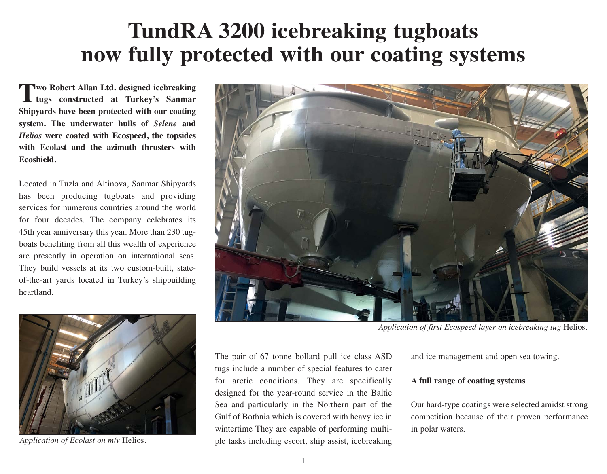## **TundRA 3200 icebreaking tugboats now fully protected with our coating systems**

**Two Robert Allan Ltd. designed icebreaking tugs constructed at Turkey's Sanmar Shipyards have been protected with our coating system. The underwater hulls of** *Selene* **and**  *Helios* **were coated with Ecospeed, the topsides with Ecolast and the azimuth thrusters with Ecoshield.** 

Located in Tuzla and Altinova, Sanmar Shipyards has been producing tugboats and providing services for numerous countries around the world for four decades. The company celebrates its 45th year anniversary this year. More than 230 tugboats benefiting from all this wealth of experience are presently in operation on international seas. They build vessels at its two custom-built, stateof-the-art yards located in Turkey's shipbuilding heartland.



*Application of Ecolast on m/v* Helios*.*



*Application of first Ecospeed layer on icebreaking tug* Helios*.*

The pair of 67 tonne bollard pull ice class ASD tugs include a number of special features to cater for arctic conditions. They are specifically designed for the year-round service in the Baltic Sea and particularly in the Northern part of the Gulf of Bothnia which is covered with heavy ice in wintertime They are capable of performing multiple tasks including escort, ship assist, icebreaking

and ice management and open sea towing.

## **A full range of coating systems**

Our hard-type coatings were selected amidst strong competition because of their proven performance in polar waters.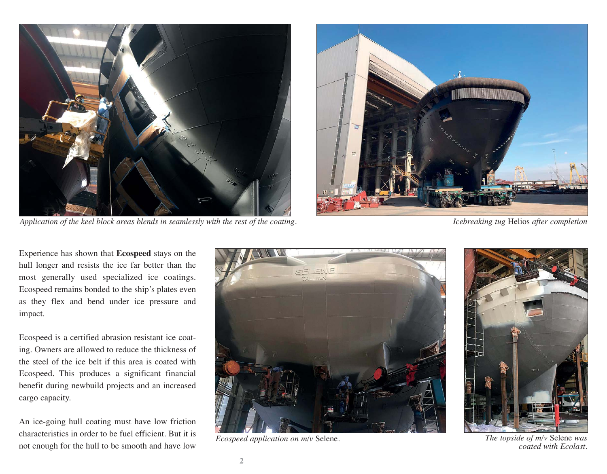

*Application of the keel block areas blends in seamlessly with the rest of the coating. Icebreaking tug* Helios *after completion*



Experience has shown that **Ecospeed** stays on the hull longer and resists the ice far better than the most generally used specialized ice coatings. Ecospeed remains bonded to the ship's plates even as they flex and bend under ice pressure and impact.

Ecospeed is a certified abrasion resistant ice coating. Owners are allowed to reduce the thickness of the steel of the ice belt if this area is coated with Ecospeed. This produces a significant financial benefit during newbuild projects and an increased cargo capacity.

An ice-going hull coating must have low friction characteristics in order to be fuel efficient. But it is Ecospeed application on  $m/v$  Selene.<br>not enough for the hull to be smooth and have low





*The topside of m/v* Selene *was coated with Ecolast.*